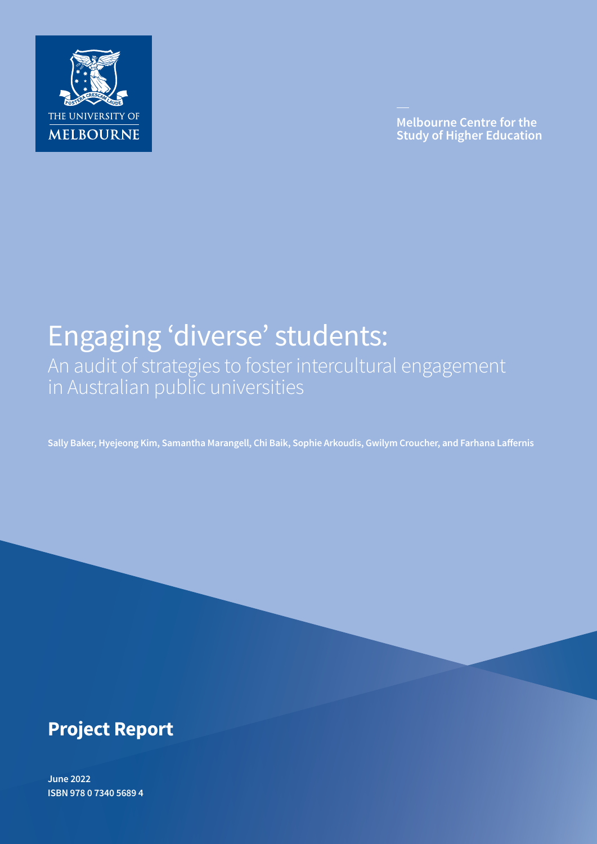

**Melbourne Centre for the Study of Higher Education** 

# Engaging 'diverse' students: An audit of strategies to foster intercultural engagement in Australian public universities

**Sally Baker, Hyejeong Kim, Samantha Marangell, Chi Baik, Sophie Arkoudis, Gwilym Croucher, and Farhana Laffernis**

## **Project Report**

**June 2022 ISBN 978 0 7340 5689 4**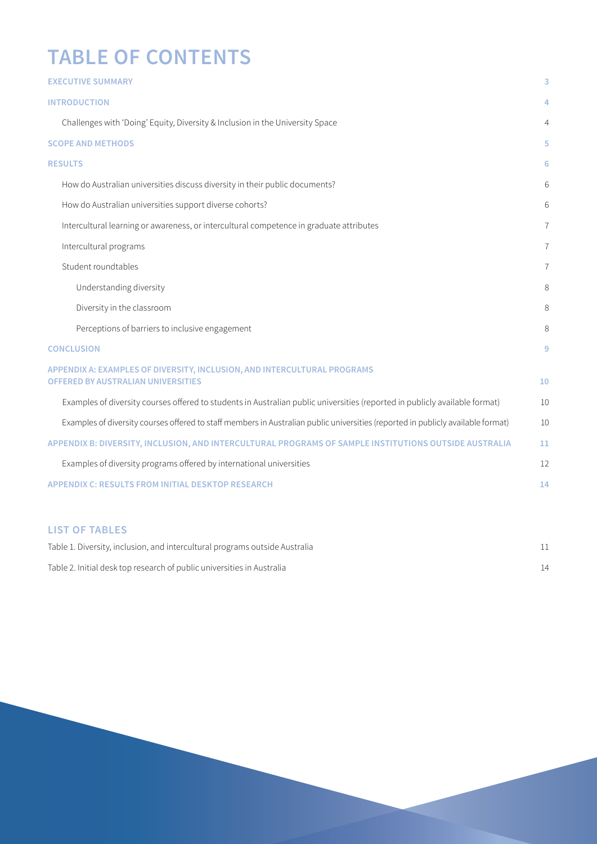# **TABLE OF CONTENTS**

| <b>EXECUTIVE SUMMARY</b>                                                                                                         | 3              |
|----------------------------------------------------------------------------------------------------------------------------------|----------------|
| <b>INTRODUCTION</b>                                                                                                              | 4              |
| Challenges with 'Doing' Equity, Diversity & Inclusion in the University Space                                                    | 4              |
| <b>SCOPE AND METHODS</b>                                                                                                         | 5              |
| <b>RESULTS</b>                                                                                                                   | 6              |
| How do Australian universities discuss diversity in their public documents?                                                      | 6              |
| How do Australian universities support diverse cohorts?                                                                          | 6              |
| Intercultural learning or awareness, or intercultural competence in graduate attributes                                          | $\overline{7}$ |
| Intercultural programs                                                                                                           | $\overline{7}$ |
| Student roundtables                                                                                                              | $\overline{7}$ |
| Understanding diversity                                                                                                          | 8              |
| Diversity in the classroom                                                                                                       | 8              |
| Perceptions of barriers to inclusive engagement                                                                                  | 8              |
| <b>CONCLUSION</b>                                                                                                                | 9              |
| APPENDIX A: EXAMPLES OF DIVERSITY, INCLUSION, AND INTERCULTURAL PROGRAMS<br><b>OFFERED BY AUSTRALIAN UNIVERSITIES</b>            | 10             |
| Examples of diversity courses offered to students in Australian public universities (reported in publicly available format)      | 10             |
| Examples of diversity courses offered to staff members in Australian public universities (reported in publicly available format) | 10             |
| APPENDIX B: DIVERSITY, INCLUSION, AND INTERCULTURAL PROGRAMS OF SAMPLE INSTITUTIONS OUTSIDE AUSTRALIA                            | 11             |
| Examples of diversity programs offered by international universities                                                             | 12             |
| <b>APPENDIX C: RESULTS FROM INITIAL DESKTOP RESEARCH</b>                                                                         | 14             |
|                                                                                                                                  |                |

## **LIST OF TABLES**

| Table 1. Diversity, inclusion, and intercultural programs outside Australia |  |
|-----------------------------------------------------------------------------|--|
| Table 2. Initial desk top research of public universities in Australia      |  |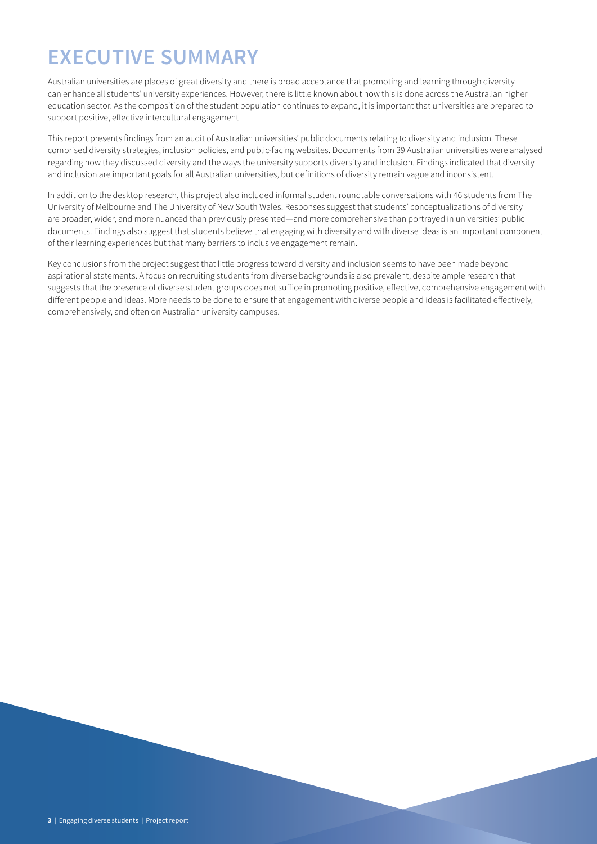# **EXECUTIVE SUMMARY**

Australian universities are places of great diversity and there is broad acceptance that promoting and learning through diversity can enhance all students' university experiences. However, there is little known about how this is done across the Australian higher education sector. As the composition of the student population continues to expand, it is important that universities are prepared to support positive, effective intercultural engagement.

This report presents findings from an audit of Australian universities' public documents relating to diversity and inclusion. These comprised diversity strategies, inclusion policies, and public-facing websites. Documents from 39 Australian universities were analysed regarding how they discussed diversity and the ways the university supports diversity and inclusion. Findings indicated that diversity and inclusion are important goals for all Australian universities, but definitions of diversity remain vague and inconsistent.

In addition to the desktop research, this project also included informal student roundtable conversations with 46 students from The University of Melbourne and The University of New South Wales. Responses suggest that students' conceptualizations of diversity are broader, wider, and more nuanced than previously presented—and more comprehensive than portrayed in universities' public documents. Findings also suggest that students believe that engaging with diversity and with diverse ideas is an important component of their learning experiences but that many barriers to inclusive engagement remain.

Key conclusions from the project suggest that little progress toward diversity and inclusion seems to have been made beyond aspirational statements. A focus on recruiting students from diverse backgrounds is also prevalent, despite ample research that suggests that the presence of diverse student groups does not suffice in promoting positive, effective, comprehensive engagement with different people and ideas. More needs to be done to ensure that engagement with diverse people and ideas is facilitated effectively, comprehensively, and often on Australian university campuses.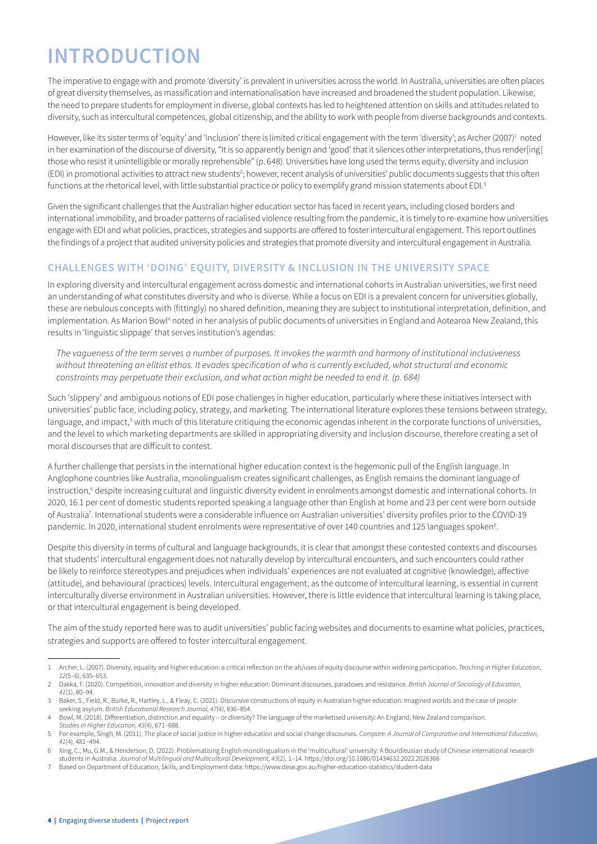## **INTRODUCTION**

The imperative to engage with and promote 'diversity' is prevalent in universities across the world. In Australia, universities are often places of great diversity themselves, as massification and internationalisation have increased and broadened the student population. Likewise, the need to prepare students for employment in diverse, global contexts has led to heightened attention on skills and attitudes related to diversity, such as intercultural competences, global citizenship, and the ability to work with people from diverse backgrounds and contexts.

However, like its sister terms of 'equity' and 'inclusion' there is limited critical engagement with the term 'diversity'; as Archer (2007)<sup>1</sup> noted in her examination of the discourse of diversity, "It is so apparently benign and 'good' that it silences other interpretations, thus render[ing] those who resist it unintelligible or morally reprehensible" (p. 648). Universities have long used the terms equity, diversity and inclusion (EDI) in promotional activities to attract new students<sup>2</sup>; however, recent analysis of universities' public documents suggests that this often functions at the rhetorical level, with little substantial practice or policy to exemplify grand mission statements about EDI.3

Given the significant challenges that the Australian higher education sector has faced in recent years, including closed borders and international immobility, and broader patterns of racialised violence resulting from the pandemic, it is timely to re-examine how universities engage with EDI and what policies, practices, strategies and supports are offered to foster intercultural engagement. This report outlines the findings of a project that audited university policies and strategies that promote diversity and intercultural engagement in Australia.

## **CHALLENGES WITH 'DOING' EQUITY, DIVERSITY & INCLUSION IN THE UNIVERSITY SPACE**

In exploring diversity and intercultural engagement across domestic and international cohorts in Australian universities, we first need an understanding of what constitutes diversity and who is diverse. While a focus on EDI is a prevalent concern for universities globally, these are nebulous concepts with (fittingly) no shared definition, meaning they are subject to institutional interpretation, definition, and implementation. As Marion Bowl<sup>4</sup> noted in her analysis of public documents of universities in England and Aotearoa New Zealand, this results in 'linguistic slippage' that serves institution's agendas:

*The vagueness of the term serves a number of purposes. It invokes the warmth and harmony of institutional inclusiveness without threatening an elitist ethos. It evades specification of who is currently excluded, what structural and economic constraints may perpetuate their exclusion, and what action might be needed to end it. (p. 684)*

Such 'slippery' and ambiguous notions of EDI pose challenges in higher education, particularly where these initiatives intersect with universities' public face, including policy, strategy, and marketing. The international literature explores these tensions between strategy, language, and impact,<sup>5</sup> with much of this literature critiquing the economic agendas inherent in the corporate functions of universities, and the level to which marketing departments are skilled in appropriating diversity and inclusion discourse, therefore creating a set of moral discourses that are difficult to contest.

A further challenge that persists in the international higher education context is the hegemonic pull of the English language. In Anglophone countries like Australia, monolingualism creates significant challenges, as English remains the dominant language of instruction,<sup>6</sup> despite increasing cultural and linguistic diversity evident in enrolments amongst domestic and international cohorts. In 2020, 16.1 per cent of domestic students reported speaking a language other than English at home and 23 per cent were born outside of Australia7 . International students were a considerable influence on Australian universities' diversity profiles prior to the COVID-19 pandemic. In 2020, international student enrolments were representative of over 140 countries and 125 languages spoken<sup>6</sup>.

Despite this diversity in terms of cultural and language backgrounds, it is clear that amongst these contested contexts and discourses that students' intercultural engagement does not naturally develop by intercultural encounters, and such encounters could rather be likely to reinforce stereotypes and prejudices when individuals' experiences are not evaluated at cognitive (knowledge), affective (attitude), and behavioural (practices) levels. Intercultural engagement, as the outcome of intercultural learning, is essential in current interculturally diverse environment in Australian universities. However, there is little evidence that intercultural learning is taking place, or that intercultural engagement is being developed.

The aim of the study reported here was to audit universities' public facing websites and documents to examine what policies, practices, strategies and supports are offered to foster intercultural engagement.

<sup>1</sup> Archer, L. (2007). Diversity, equality and higher education: a critical reflection on the ab/uses of equity discourse within widening participation. *Teaching in Higher Education*, *12*(5–6), 635–653.

<sup>2</sup> Dakka, F. (2020). Competition, innovation and diversity in higher education: Dominant discourses, paradoxes and resistance. *British Journal of Sociology of Education, 41*(1), 80–94.

<sup>3</sup> Baker, S., Field, R., Burke, R., Hartley, L., & Fleay, C. (2021). Discursive constructions of equity in Australian higher education: Imagined worlds and the case of people seeking asylum. *British Educational Research Journal, 47(4)*, 836–854. 4 Bowl, M. (2018). Differentiation, distinction and equality – or diversity? The language of the marketised university: An England, New Zealand comparison.

*Studies in Higher Education, 43*(4), 671–688.

<sup>5</sup> For example, Singh, M. (2011). The place of social justice in higher education and social change discourses. *Compare: A Journal of Comparative and International Education, 41*(4), 481–494.

<sup>6</sup> Xing, C., Mu, G.M., & Henderson, D. (2022). Problematising English monolingualism in the 'multicultural' university: A Bourdieusian study of Chinese international research students in Australia. *Journal of Multilingual and Multicultural Development, 43*(2), 1–14. https://doi.org/10.1080/01434632.2022.2026366

<sup>7</sup> Based on Department of Education, Skills, and Employment data: https://www.dese.gov.au/higher-education-statistics/student-data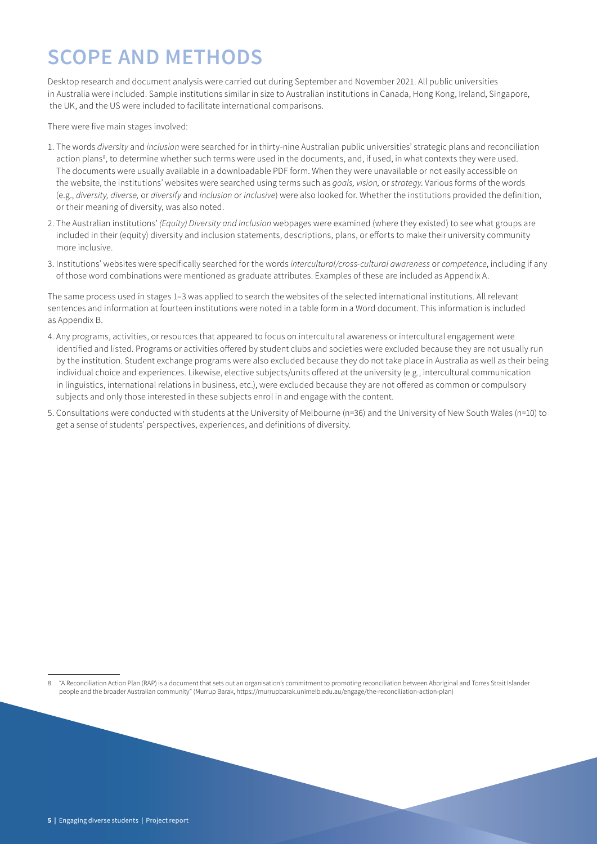# **SCOPE AND METHODS**

Desktop research and document analysis were carried out during September and November 2021. All public universities in Australia were included. Sample institutions similar in size to Australian institutions in Canada, Hong Kong, Ireland, Singapore, the UK, and the US were included to facilitate international comparisons.

There were five main stages involved:

- 1. The words *diversity* and *inclusion* were searched for in thirty-nine Australian public universities' strategic plans and reconciliation action plans<sup>8</sup>, to determine whether such terms were used in the documents, and, if used, in what contexts they were used. The documents were usually available in a downloadable PDF form. When they were unavailable or not easily accessible on the website, the institutions' websites were searched using terms such as *goals, vision,* or *strategy*. Various forms of the words (e.g., *diversity, diverse,* or *diversify* and *inclusion* or *inclusive*) were also looked for. Whether the institutions provided the definition, or their meaning of diversity, was also noted.
- 2. The Australian institutions' *(Equity) Diversity and Inclusion* webpages were examined (where they existed) to see what groups are included in their (equity) diversity and inclusion statements, descriptions, plans, or efforts to make their university community more inclusive.
- 3. Institutions' websites were specifically searched for the words *intercultural/cross-cultural awareness* or *competence*, including if any of those word combinations were mentioned as graduate attributes. Examples of these are included as Appendix A.

The same process used in stages 1–3 was applied to search the websites of the selected international institutions. All relevant sentences and information at fourteen institutions were noted in a table form in a Word document. This information is included as Appendix B.

- 4. Any programs, activities, or resources that appeared to focus on intercultural awareness or intercultural engagement were identified and listed. Programs or activities offered by student clubs and societies were excluded because they are not usually run by the institution. Student exchange programs were also excluded because they do not take place in Australia as well as their being individual choice and experiences. Likewise, elective subjects/units offered at the university (e.g., intercultural communication in linguistics, international relations in business, etc.), were excluded because they are not offered as common or compulsory subjects and only those interested in these subjects enrol in and engage with the content.
- 5. Consultations were conducted with students at the University of Melbourne (n=36) and the University of New South Wales (n=10) to get a sense of students' perspectives, experiences, and definitions of diversity.

8 "A Reconciliation Action Plan (RAP) is a document that sets out an organisation's commitment to promoting reconciliation between Aboriginal and Torres Strait Islander people and the broader Australian community" (Murrup Barak, https://murrupbarak.unimelb.edu.au/engage/the-reconciliation-action-plan)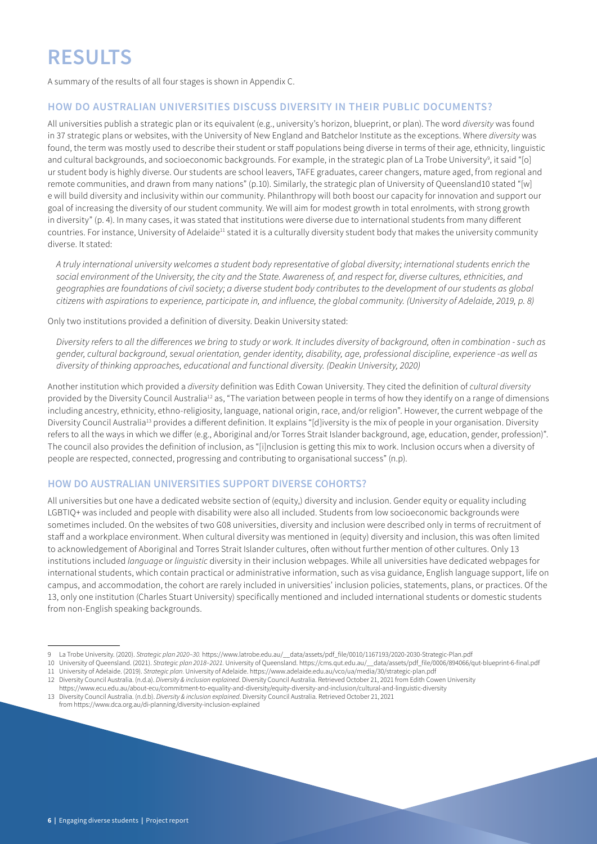A summary of the results of all four stages is shown in Appendix C.

### **HOW DO AUSTRALIAN UNIVERSITIES DISCUSS DIVERSITY IN THEIR PUBLIC DOCUMENTS?**

All universities publish a strategic plan or its equivalent (e.g., university's horizon, blueprint, or plan). The word *diversity* was found in 37 strategic plans or websites, with the University of New England and Batchelor Institute as the exceptions. Where *diversity* was found, the term was mostly used to describe their student or staff populations being diverse in terms of their age, ethnicity, linguistic and cultural backgrounds, and socioeconomic backgrounds. For example, in the strategic plan of La Trobe University<sup>9</sup>, it said "[o] ur student body is highly diverse. Our students are school leavers, TAFE graduates, career changers, mature aged, from regional and remote communities, and drawn from many nations" (p.10). Similarly, the strategic plan of University of Queensland10 stated "[w] e will build diversity and inclusivity within our community. Philanthropy will both boost our capacity for innovation and support our goal of increasing the diversity of our student community. We will aim for modest growth in total enrolments, with strong growth in diversity" (p. 4). In many cases, it was stated that institutions were diverse due to international students from many different countries. For instance, University of Adelaide<sup>11</sup> stated it is a culturally diversity student body that makes the university community diverse. It stated:

*A truly international university welcomes a student body representative of global diversity; international students enrich the social environment of the University, the city and the State. Awareness of, and respect for, diverse cultures, ethnicities, and geographies are foundations of civil society; a diverse student body contributes to the development of our students as global citizens with aspirations to experience, participate in, and influence, the global community. (University of Adelaide, 2019, p. 8)*

Only two institutions provided a definition of diversity. Deakin University stated:

*Diversity refers to all the differences we bring to study or work. It includes diversity of background, often in combination - such as gender, cultural background, sexual orientation, gender identity, disability, age, professional discipline, experience -as well as diversity of thinking approaches, educational and functional diversity. (Deakin University, 2020)*

Another institution which provided a *diversity* definition was Edith Cowan University. They cited the definition of *cultural diversity* provided by the Diversity Council Australia<sup>12</sup> as, "The variation between people in terms of how they identify on a range of dimensions including ancestry, ethnicity, ethno-religiosity, language, national origin, race, and/or religion". However, the current webpage of the Diversity Council Australia13 provides a different definition. It explains "[d]iversity is the mix of people in your organisation. Diversity refers to all the ways in which we differ (e.g., Aboriginal and/or Torres Strait Islander background, age, education, gender, profession)". The council also provides the definition of inclusion, as "[i]nclusion is getting this mix to work. Inclusion occurs when a diversity of people are respected, connected, progressing and contributing to organisational success" (n.p).

### **HOW DO AUSTRALIAN UNIVERSITIES SUPPORT DIVERSE COHORTS?**

All universities but one have a dedicated website section of (equity,) diversity and inclusion. Gender equity or equality including LGBTIQ+ was included and people with disability were also all included. Students from low socioeconomic backgrounds were sometimes included. On the websites of two G08 universities, diversity and inclusion were described only in terms of recruitment of staff and a workplace environment. When cultural diversity was mentioned in (equity) diversity and inclusion, this was often limited to acknowledgement of Aboriginal and Torres Strait Islander cultures, often without further mention of other cultures. Only 13 institutions included *language* or *linguistic* diversity in their inclusion webpages. While all universities have dedicated webpages for international students, which contain practical or administrative information, such as visa guidance, English language support, life on campus, and accommodation, the cohort are rarely included in universities' inclusion policies, statements, plans, or practices. Of the 13, only one institution (Charles Stuart University) specifically mentioned and included international students or domestic students from non-English speaking backgrounds.

<sup>9</sup> La Trobe University. (2020). *Strategic plan 2020–30.* https://www.latrobe.edu.au/\_\_data/assets/pdf\_file/0010/1167193/2020-2030-Strategic-Plan.pdf

<sup>10</sup> University of Queensland. (2021). *Strategic plan 2018–2021.* University of Queensland. https://cms.qut.edu.au/\_\_data/assets/pdf\_file/0006/894066/qut-blueprint-6-final.pdf

<sup>11</sup> University of Adelaide. (2019). *Strategic plan.* University of Adelaide. https://www.adelaide.edu.au/vco/ua/media/30/strategic-plan.pdf

<sup>12</sup> Diversity Council Australia. (n.d.a). *Diversity & inclusion explained*. Diversity Council Australia. Retrieved October 21, 2021 from Edith Cowen University

https://www.ecu.edu.au/about-ecu/commitment-to-equality-and-diversity/equity-diversity-and-inclusion/cultural-and-linguistic-diversity

<sup>13</sup> Diversity Council Australia. (n.d.b). *Diversity & inclusion explained*. Diversity Council Australia. Retrieved October 21, 2021 from https://www.dca.org.au/di-planning/diversity-inclusion-explained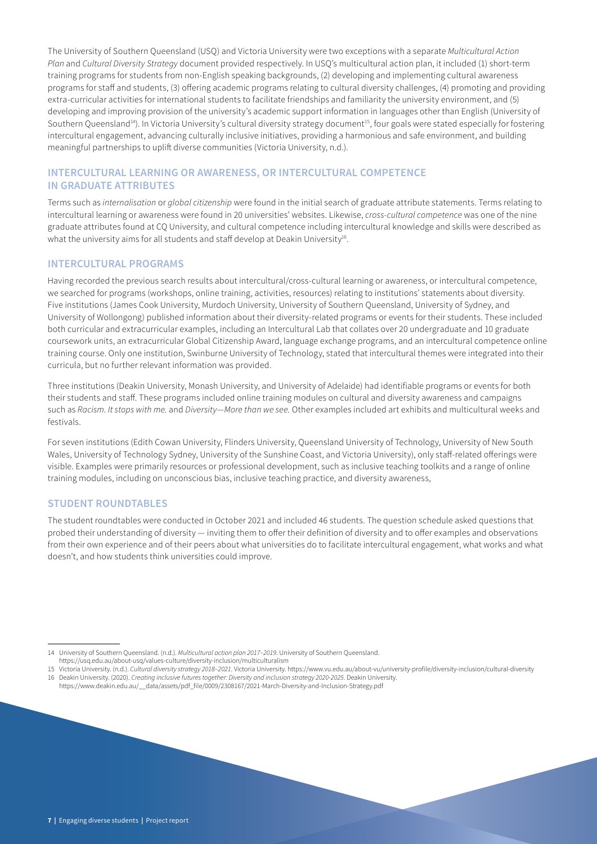The University of Southern Queensland (USQ) and Victoria University were two exceptions with a separate *Multicultural Action Plan* and *Cultural Diversity Strategy* document provided respectively. In USQ's multicultural action plan, it included (1) short-term training programs for students from non-English speaking backgrounds, (2) developing and implementing cultural awareness programs for staff and students, (3) offering academic programs relating to cultural diversity challenges, (4) promoting and providing extra-curricular activities for international students to facilitate friendships and familiarity the university environment, and (5) developing and improving provision of the university's academic support information in languages other than English (University of Southern Queensland<sup>14</sup>). In Victoria University's cultural diversity strategy document<sup>15</sup>, four goals were stated especially for fostering intercultural engagement, advancing culturally inclusive initiatives, providing a harmonious and safe environment, and building meaningful partnerships to uplift diverse communities (Victoria University, n.d.).

## **INTERCULTURAL LEARNING OR AWARENESS, OR INTERCULTURAL COMPETENCE IN GRADUATE ATTRIBUTES**

Terms such as *internalisation* or *global citizenship* were found in the initial search of graduate attribute statements. Terms relating to intercultural learning or awareness were found in 20 universities' websites. Likewise, *cross-cultural competence* was one of the nine graduate attributes found at CQ University, and cultural competence including intercultural knowledge and skills were described as what the university aims for all students and staff develop at Deakin University<sup>16</sup>.

### **INTERCULTURAL PROGRAMS**

Having recorded the previous search results about intercultural/cross-cultural learning or awareness, or intercultural competence, we searched for programs (workshops, online training, activities, resources) relating to institutions' statements about diversity. Five institutions (James Cook University, Murdoch University, University of Southern Queensland, University of Sydney, and University of Wollongong) published information about their diversity-related programs or events for their students. These included both curricular and extracurricular examples, including an Intercultural Lab that collates over 20 undergraduate and 10 graduate coursework units, an extracurricular Global Citizenship Award, language exchange programs, and an intercultural competence online training course. Only one institution, Swinburne University of Technology, stated that intercultural themes were integrated into their curricula, but no further relevant information was provided.

Three institutions (Deakin University, Monash University, and University of Adelaide) had identifiable programs or events for both their students and staff. These programs included online training modules on cultural and diversity awareness and campaigns such as *Racism*. *It stops with me.* and *Diversity—More than we see.* Other examples included art exhibits and multicultural weeks and festivals.

For seven institutions (Edith Cowan University, Flinders University, Queensland University of Technology, University of New South Wales, University of Technology Sydney, University of the Sunshine Coast, and Victoria University), only staff-related offerings were visible. Examples were primarily resources or professional development, such as inclusive teaching toolkits and a range of online training modules, including on unconscious bias, inclusive teaching practice, and diversity awareness,

#### **STUDENT ROUNDTABLES**

The student roundtables were conducted in October 2021 and included 46 students. The question schedule asked questions that probed their understanding of diversity — inviting them to offer their definition of diversity and to offer examples and observations from their own experience and of their peers about what universities do to facilitate intercultural engagement, what works and what doesn't, and how students think universities could improve.

<sup>14</sup> University of Southern Queensland. (n.d.). *Multicultural action plan 2017–2019*. University of Southern Queensland.

https://usq.edu.au/about-usq/values-culture/diversity-inclusion/multiculturalism

<sup>15</sup> Victoria University. (n.d.). *Cultural diversity strategy 2018–2021*. Victoria University. https://www.vu.edu.au/about-vu/university-profile/diversity-inclusion/cultural-diversity 16 Deakin University. (2020). *Creating inclusive futures together: Diversity and inclusion strategy 2020-2025*. Deakin University.

https://www.deakin.edu.au/\_\_data/assets/pdf\_file/0009/2308167/2021-March-Diversity-and-Inclusion-Strategy.pdf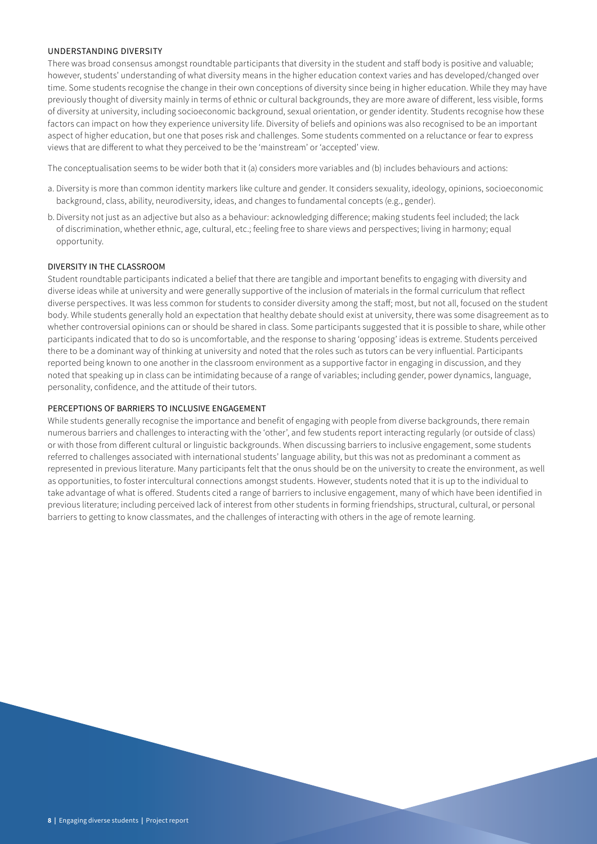#### UNDERSTANDING DIVERSITY

There was broad consensus amongst roundtable participants that diversity in the student and staff body is positive and valuable; however, students' understanding of what diversity means in the higher education context varies and has developed/changed over time. Some students recognise the change in their own conceptions of diversity since being in higher education. While they may have previously thought of diversity mainly in terms of ethnic or cultural backgrounds, they are more aware of different, less visible, forms of diversity at university, including socioeconomic background, sexual orientation, or gender identity. Students recognise how these factors can impact on how they experience university life. Diversity of beliefs and opinions was also recognised to be an important aspect of higher education, but one that poses risk and challenges. Some students commented on a reluctance or fear to express views that are different to what they perceived to be the 'mainstream' or 'accepted' view.

The conceptualisation seems to be wider both that it (a) considers more variables and (b) includes behaviours and actions:

- a. Diversity is more than common identity markers like culture and gender. It considers sexuality, ideology, opinions, socioeconomic background, class, ability, neurodiversity, ideas, and changes to fundamental concepts (e.g., gender).
- b. Diversity not just as an adjective but also as a behaviour: acknowledging difference; making students feel included; the lack of discrimination, whether ethnic, age, cultural, etc.; feeling free to share views and perspectives; living in harmony; equal opportunity.

#### DIVERSITY IN THE CLASSROOM

Student roundtable participants indicated a belief that there are tangible and important benefits to engaging with diversity and diverse ideas while at university and were generally supportive of the inclusion of materials in the formal curriculum that reflect diverse perspectives. It was less common for students to consider diversity among the staff; most, but not all, focused on the student body. While students generally hold an expectation that healthy debate should exist at university, there was some disagreement as to whether controversial opinions can or should be shared in class. Some participants suggested that it is possible to share, while other participants indicated that to do so is uncomfortable, and the response to sharing 'opposing' ideas is extreme. Students perceived there to be a dominant way of thinking at university and noted that the roles such as tutors can be very influential. Participants reported being known to one another in the classroom environment as a supportive factor in engaging in discussion, and they noted that speaking up in class can be intimidating because of a range of variables; including gender, power dynamics, language, personality, confidence, and the attitude of their tutors.

#### PERCEPTIONS OF BARRIERS TO INCLUSIVE ENGAGEMENT

While students generally recognise the importance and benefit of engaging with people from diverse backgrounds, there remain numerous barriers and challenges to interacting with the 'other', and few students report interacting regularly (or outside of class) or with those from different cultural or linguistic backgrounds. When discussing barriers to inclusive engagement, some students referred to challenges associated with international students' language ability, but this was not as predominant a comment as represented in previous literature. Many participants felt that the onus should be on the university to create the environment, as well as opportunities, to foster intercultural connections amongst students. However, students noted that it is up to the individual to take advantage of what is offered. Students cited a range of barriers to inclusive engagement, many of which have been identified in previous literature; including perceived lack of interest from other students in forming friendships, structural, cultural, or personal barriers to getting to know classmates, and the challenges of interacting with others in the age of remote learning.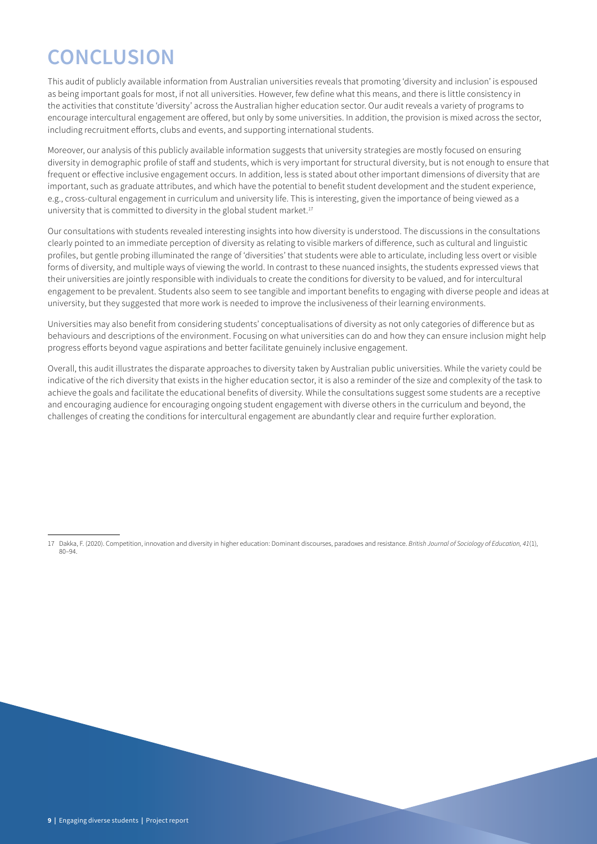# **CONCLUSION**

This audit of publicly available information from Australian universities reveals that promoting 'diversity and inclusion' is espoused as being important goals for most, if not all universities. However, few define what this means, and there is little consistency in the activities that constitute 'diversity' across the Australian higher education sector. Our audit reveals a variety of programs to encourage intercultural engagement are offered, but only by some universities. In addition, the provision is mixed across the sector, including recruitment efforts, clubs and events, and supporting international students.

Moreover, our analysis of this publicly available information suggests that university strategies are mostly focused on ensuring diversity in demographic profile of staff and students, which is very important for structural diversity, but is not enough to ensure that frequent or effective inclusive engagement occurs. In addition, less is stated about other important dimensions of diversity that are important, such as graduate attributes, and which have the potential to benefit student development and the student experience, e.g., cross-cultural engagement in curriculum and university life. This is interesting, given the importance of being viewed as a university that is committed to diversity in the global student market.<sup>17</sup>

Our consultations with students revealed interesting insights into how diversity is understood. The discussions in the consultations clearly pointed to an immediate perception of diversity as relating to visible markers of difference, such as cultural and linguistic profiles, but gentle probing illuminated the range of 'diversities' that students were able to articulate, including less overt or visible forms of diversity, and multiple ways of viewing the world. In contrast to these nuanced insights, the students expressed views that their universities are jointly responsible with individuals to create the conditions for diversity to be valued, and for intercultural engagement to be prevalent. Students also seem to see tangible and important benefits to engaging with diverse people and ideas at university, but they suggested that more work is needed to improve the inclusiveness of their learning environments.

Universities may also benefit from considering students' conceptualisations of diversity as not only categories of difference but as behaviours and descriptions of the environment. Focusing on what universities can do and how they can ensure inclusion might help progress efforts beyond vague aspirations and better facilitate genuinely inclusive engagement.

Overall, this audit illustrates the disparate approaches to diversity taken by Australian public universities. While the variety could be indicative of the rich diversity that exists in the higher education sector, it is also a reminder of the size and complexity of the task to achieve the goals and facilitate the educational benefits of diversity. While the consultations suggest some students are a receptive and encouraging audience for encouraging ongoing student engagement with diverse others in the curriculum and beyond, the challenges of creating the conditions for intercultural engagement are abundantly clear and require further exploration.

<sup>17</sup> Dakka, F. (2020). Competition, innovation and diversity in higher education: Dominant discourses, paradoxes and resistance. *British Journal of Sociology of Education, 41*(1), 80–94.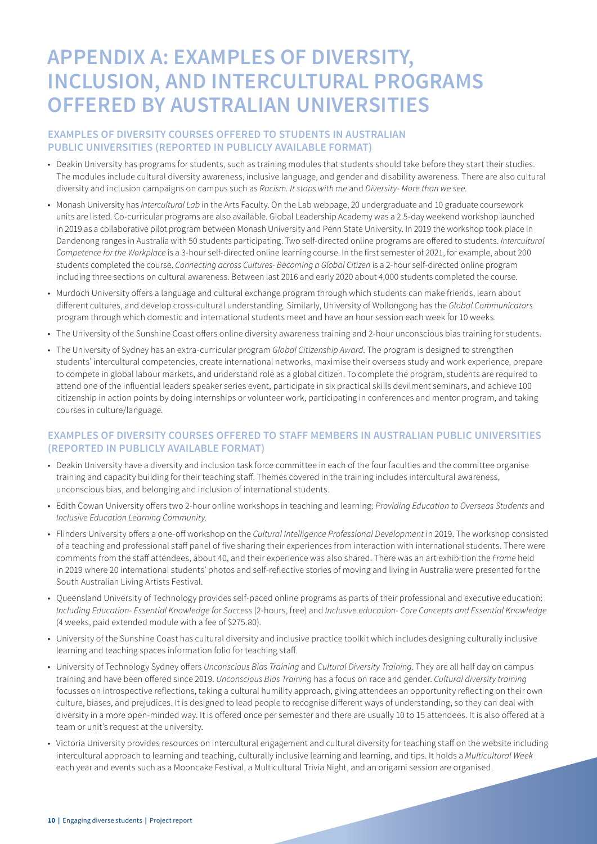## **APPENDIX A: EXAMPLES OF DIVERSITY, INCLUSION, AND INTERCULTURAL PROGRAMS OFFERED BY AUSTRALIAN UNIVERSITIES**

## **EXAMPLES OF DIVERSITY COURSES OFFERED TO STUDENTS IN AUSTRALIAN PUBLIC UNIVERSITIES (REPORTED IN PUBLICLY AVAILABLE FORMAT)**

- Deakin University has programs for students, such as training modules that students should take before they start their studies. The modules include cultural diversity awareness, inclusive language, and gender and disability awareness. There are also cultural diversity and inclusion campaigns on campus such as *Racism. It stops with me* and *Diversity- More than we see.*
- Monash University has *Intercultural Lab* in the Arts Faculty. On the Lab webpage, 20 undergraduate and 10 graduate coursework units are listed. Co-curricular programs are also available. Global Leadership Academy was a 2.5-day weekend workshop launched in 2019 as a collaborative pilot program between Monash University and Penn State University. In 2019 the workshop took place in Dandenong ranges in Australia with 50 students participating. Two self-directed online programs are offered to students. *Intercultural Competence for the Workplace* is a 3-hour self-directed online learning course. In the first semester of 2021, for example, about 200 students completed the course. *Connecting across Cultures- Becoming a Global Citizen* is a 2-hour self-directed online program including three sections on cultural awareness. Between last 2016 and early 2020 about 4,000 students completed the course.
- Murdoch University offers a language and cultural exchange program through which students can make friends, learn about different cultures, and develop cross-cultural understanding. Similarly, University of Wollongong has the *Global Communicators* program through which domestic and international students meet and have an hour session each week for 10 weeks.
- The University of the Sunshine Coast offers online diversity awareness training and 2-hour unconscious bias training for students.
- The University of Sydney has an extra-curricular program *Global Citizenship Award*. The program is designed to strengthen students' intercultural competencies, create international networks, maximise their overseas study and work experience, prepare to compete in global labour markets, and understand role as a global citizen. To complete the program, students are required to attend one of the influential leaders speaker series event, participate in six practical skills devilment seminars, and achieve 100 citizenship in action points by doing internships or volunteer work, participating in conferences and mentor program, and taking courses in culture/language.

## **EXAMPLES OF DIVERSITY COURSES OFFERED TO STAFF MEMBERS IN AUSTRALIAN PUBLIC UNIVERSITIES (REPORTED IN PUBLICLY AVAILABLE FORMAT)**

- Deakin University have a diversity and inclusion task force committee in each of the four faculties and the committee organise training and capacity building for their teaching staff. Themes covered in the training includes intercultural awareness, unconscious bias, and belonging and inclusion of international students.
- Edith Cowan University offers two 2-hour online workshops in teaching and learning: *Providing Education to Overseas Students* and *Inclusive Education Learning Community*.
- Flinders University offers a one-off workshop on the *Cultural Intelligence Professional Development* in 2019. The workshop consisted of a teaching and professional staff panel of five sharing their experiences from interaction with international students. There were comments from the staff attendees, about 40, and their experience was also shared. There was an art exhibition the *Frame* held in 2019 where 20 international students' photos and self-reflective stories of moving and living in Australia were presented for the South Australian Living Artists Festival.
- Queensland University of Technology provides self-paced online programs as parts of their professional and executive education: *Including Education- Essential Knowledge for Success* (2-hours, free) and *Inclusive education- Core Concepts and Essential Knowledge* (4 weeks, paid extended module with a fee of \$275.80).
- University of the Sunshine Coast has cultural diversity and inclusive practice toolkit which includes designing culturally inclusive learning and teaching spaces information folio for teaching staff.
- University of Technology Sydney offers *Unconscious Bias Training* and *Cultural Diversity Training*. They are all half day on campus training and have been offered since 2019. *Unconscious Bias Training* has a focus on race and gender. *Cultural diversity training* focusses on introspective reflections, taking a cultural humility approach, giving attendees an opportunity reflecting on their own culture, biases, and prejudices. It is designed to lead people to recognise different ways of understanding, so they can deal with diversity in a more open-minded way. It is offered once per semester and there are usually 10 to 15 attendees. It is also offered at a team or unit's request at the university.
- Victoria University provides resources on intercultural engagement and cultural diversity for teaching staff on the website including intercultural approach to learning and teaching, culturally inclusive learning and learning, and tips. It holds a *Multicultural Week* each year and events such as a Mooncake Festival, a Multicultural Trivia Night, and an origami session are organised.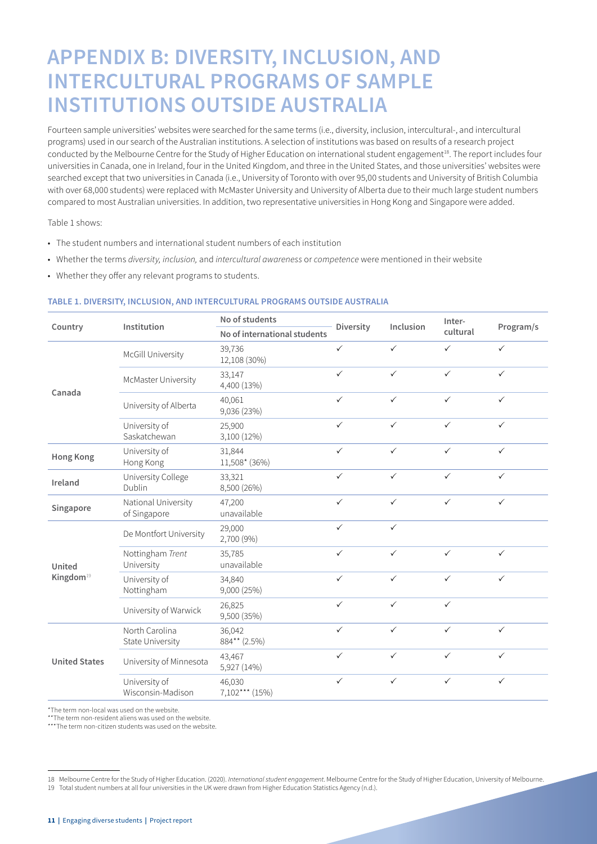## **APPENDIX B: DIVERSITY, INCLUSION, AND INTERCULTURAL PROGRAMS OF SAMPLE INSTITUTIONS OUTSIDE AUSTRALIA**

Fourteen sample universities' websites were searched for the same terms (i.e., diversity, inclusion, intercultural-, and intercultural programs) used in our search of the Australian institutions. A selection of institutions was based on results of a research project conducted by the Melbourne Centre for the Study of Higher Education on international student engagement<sup>18</sup>. The report includes four universities in Canada, one in Ireland, four in the United Kingdom, and three in the United States, and those universities' websites were searched except that two universities in Canada (i.e., University of Toronto with over 95,00 students and University of British Columbia with over 68,000 students) were replaced with McMaster University and University of Alberta due to their much large student numbers compared to most Australian universities. In addition, two representative universities in Hong Kong and Singapore were added.

Table 1 shows:

- The student numbers and international student numbers of each institution
- Whether the terms *diversity, inclusion,* and *intercultural awareness* or *competence* were mentioned in their website
- Whether they offer any relevant programs to students.

#### **TABLE 1. DIVERSITY, INCLUSION, AND INTERCULTURAL PROGRAMS OUTSIDE AUSTRALIA**

|                       | Institution                                                  | No of students               | Diversity    | Inclusion    | Inter-       | Program/s    |  |
|-----------------------|--------------------------------------------------------------|------------------------------|--------------|--------------|--------------|--------------|--|
| Country               |                                                              | No of international students |              |              | cultural     |              |  |
|                       | <b>McGill University</b>                                     | 39,736<br>12,108 (30%)       | $\checkmark$ | $\checkmark$ | $\checkmark$ | $\checkmark$ |  |
| Canada                | McMaster University                                          | 33,147<br>4,400 (13%)        | $\checkmark$ | $\checkmark$ | $\checkmark$ | $\checkmark$ |  |
|                       | University of Alberta                                        | 40,061<br>9,036 (23%)        | $\checkmark$ | $\checkmark$ | $\checkmark$ | $\checkmark$ |  |
|                       | University of<br>Saskatchewan                                | 25,900<br>3,100 (12%)        | $\checkmark$ | $\checkmark$ | $\checkmark$ | $\checkmark$ |  |
| <b>Hong Kong</b>      | University of<br>Hong Kong                                   | 31,844<br>11,508* (36%)      | $\checkmark$ | $\checkmark$ | $\checkmark$ | $\checkmark$ |  |
| Ireland               | University College<br>33,321<br>Dublin<br>8,500 (26%)        |                              |              | $\checkmark$ | $\checkmark$ | $\checkmark$ |  |
| Singapore             | 47,200<br>National University<br>unavailable<br>of Singapore |                              | $\checkmark$ | $\checkmark$ | $\checkmark$ | $\checkmark$ |  |
|                       | De Montfort University                                       | 29,000<br>2,700 (9%)         | $\checkmark$ | $\checkmark$ |              |              |  |
| United                | Nottingham Trent<br>University                               | 35,785<br>unavailable        | $\checkmark$ | $\checkmark$ | $\checkmark$ | $\checkmark$ |  |
| Kingdom <sup>19</sup> | University of<br>Nottingham                                  | 34,840<br>9,000 (25%)        | $\checkmark$ | $\checkmark$ | $\checkmark$ | $\checkmark$ |  |
|                       | University of Warwick                                        | 26,825<br>9,500 (35%)        | $\checkmark$ | $\checkmark$ | $\checkmark$ |              |  |
|                       | North Carolina<br>State University                           | 36,042<br>884** (2.5%)       | $\checkmark$ | $\checkmark$ | $\checkmark$ | $\checkmark$ |  |
| <b>United States</b>  | University of Minnesota                                      | 43,467<br>5,927 (14%)        | $\checkmark$ | $\checkmark$ | $\checkmark$ | $\checkmark$ |  |
|                       | University of<br>Wisconsin-Madison                           | 46,030<br>7,102*** (15%)     | $\checkmark$ | $\checkmark$ | $\checkmark$ | $\checkmark$ |  |

\*The term non-local was used on the website.

\*\*The term non-resident aliens was used on the website.

\*\*\*The term non-citizen students was used on the website.

<sup>18</sup> Melbourne Centre for the Study of Higher Education. (2020). *International student engagement*. Melbourne Centre for the Study of Higher Education, University of Melbourne.

<sup>19</sup> Total student numbers at all four universities in the UK were drawn from Higher Education Statistics Agency (n.d.).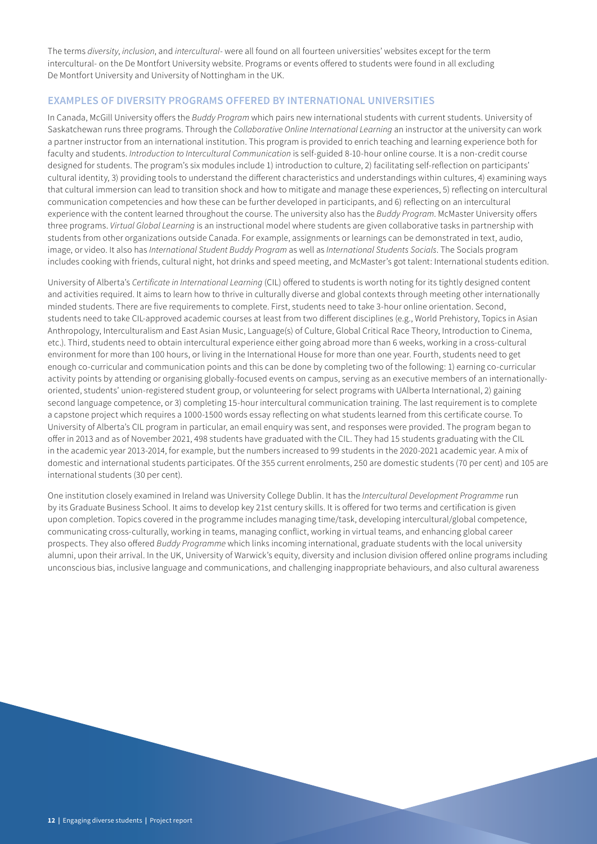The terms *diversity*, *inclusion*, and *intercultural*- were all found on all fourteen universities' websites except for the term intercultural- on the De Montfort University website. Programs or events offered to students were found in all excluding De Montfort University and University of Nottingham in the UK.

#### **EXAMPLES OF DIVERSITY PROGRAMS OFFERED BY INTERNATIONAL UNIVERSITIES**

In Canada, McGill University offers the *Buddy Program* which pairs new international students with current students. University of Saskatchewan runs three programs. Through the *Collaborative Online International Learning* an instructor at the university can work a partner instructor from an international institution. This program is provided to enrich teaching and learning experience both for faculty and students. *Introduction to Intercultural Communication* is self-guided 8-10-hour online course. It is a non-credit course designed for students. The program's six modules include 1) introduction to culture, 2) facilitating self-reflection on participants' cultural identity, 3) providing tools to understand the different characteristics and understandings within cultures, 4) examining ways that cultural immersion can lead to transition shock and how to mitigate and manage these experiences, 5) reflecting on intercultural communication competencies and how these can be further developed in participants, and 6) reflecting on an intercultural experience with the content learned throughout the course. The university also has the *Buddy Program*. McMaster University offers three programs. *Virtual Global Learning* is an instructional model where students are given collaborative tasks in partnership with students from other organizations outside Canada. For example, assignments or learnings can be demonstrated in text, audio, image, or video. It also has *International Student Buddy Program* as well as *International Students Socials*. The Socials program includes cooking with friends, cultural night, hot drinks and speed meeting, and McMaster's got talent: International students edition.

University of Alberta's *Certificate in International Learning* (CIL) offered to students is worth noting for its tightly designed content and activities required. It aims to learn how to thrive in culturally diverse and global contexts through meeting other internationally minded students. There are five requirements to complete. First, students need to take 3-hour online orientation. Second, students need to take CIL-approved academic courses at least from two different disciplines (e.g., World Prehistory, Topics in Asian Anthropology, Interculturalism and East Asian Music, Language(s) of Culture, Global Critical Race Theory, Introduction to Cinema, etc.). Third, students need to obtain intercultural experience either going abroad more than 6 weeks, working in a cross-cultural environment for more than 100 hours, or living in the International House for more than one year. Fourth, students need to get enough co-curricular and communication points and this can be done by completing two of the following: 1) earning co-curricular activity points by attending or organising globally-focused events on campus, serving as an executive members of an internationallyoriented, students' union-registered student group, or volunteering for select programs with UAlberta International, 2) gaining second language competence, or 3) completing 15-hour intercultural communication training. The last requirement is to complete a capstone project which requires a 1000-1500 words essay reflecting on what students learned from this certificate course. To University of Alberta's CIL program in particular, an email enquiry was sent, and responses were provided. The program began to offer in 2013 and as of November 2021, 498 students have graduated with the CIL. They had 15 students graduating with the CIL in the academic year 2013-2014, for example, but the numbers increased to 99 students in the 2020-2021 academic year. A mix of domestic and international students participates. Of the 355 current enrolments, 250 are domestic students (70 per cent) and 105 are international students (30 per cent).

One institution closely examined in Ireland was University College Dublin. It has the *Intercultural Development Programme* run by its Graduate Business School. It aims to develop key 21st century skills. It is offered for two terms and certification is given upon completion. Topics covered in the programme includes managing time/task, developing intercultural/global competence, communicating cross-culturally, working in teams, managing conflict, working in virtual teams, and enhancing global career prospects. They also offered *Buddy Programme* which links incoming international, graduate students with the local university alumni, upon their arrival. In the UK, University of Warwick's equity, diversity and inclusion division offered online programs including unconscious bias, inclusive language and communications, and challenging inappropriate behaviours, and also cultural awareness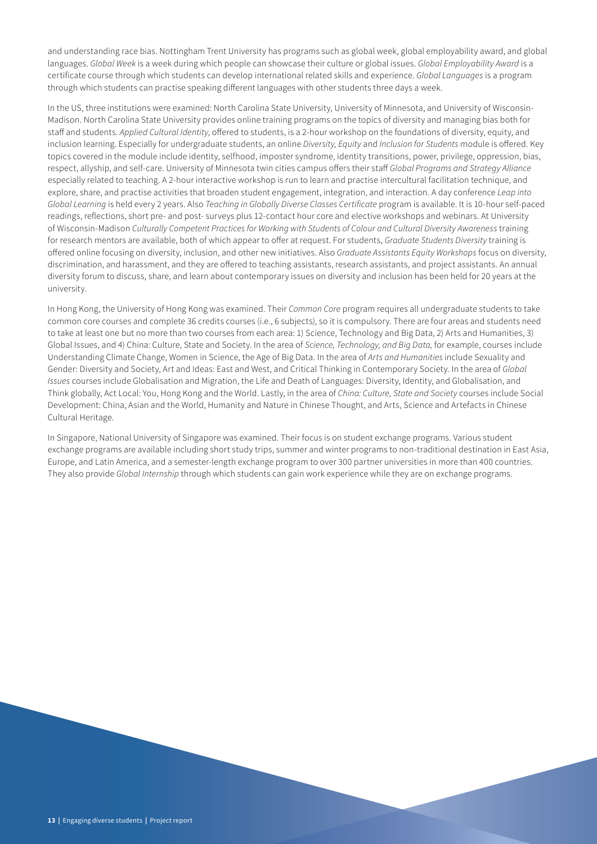and understanding race bias. Nottingham Trent University has programs such as global week, global employability award, and global languages. *Global Week* is a week during which people can showcase their culture or global issues. *Global Employability Award* is a certificate course through which students can develop international related skills and experience. *Global Languages* is a program through which students can practise speaking different languages with other students three days a week.

In the US, three institutions were examined: North Carolina State University, University of Minnesota, and University of Wisconsin-Madison. North Carolina State University provides online training programs on the topics of diversity and managing bias both for staff and students. *Applied Cultural Identity*, offered to students, is a 2-hour workshop on the foundations of diversity, equity, and inclusion learning. Especially for undergraduate students, an online *Diversity, Equity* and *Inclusion for Students* module is offered. Key topics covered in the module include identity, selfhood, imposter syndrome, identity transitions, power, privilege, oppression, bias, respect, allyship, and self-care. University of Minnesota twin cities campus offers their staff *Global Programs and Strategy Alliance* especially related to teaching. A 2-hour interactive workshop is run to learn and practise intercultural facilitation technique, and explore, share, and practise activities that broaden student engagement, integration, and interaction. A day conference *Leap into Global Learning* is held every 2 years. Also *Teaching in Globally Diverse Classes Certificate* program is available. It is 10-hour self-paced readings, reflections, short pre- and post- surveys plus 12-contact hour core and elective workshops and webinars. At University of Wisconsin-Madison *Culturally Competent Practices for Working with Students of Colour and Cultural Diversity Awareness* training for research mentors are available, both of which appear to offer at request. For students, *Graduate Students Diversity* training is offered online focusing on diversity, inclusion, and other new initiatives. Also *Graduate Assistants Equity Workshops* focus on diversity, discrimination, and harassment, and they are offered to teaching assistants, research assistants, and project assistants. An annual diversity forum to discuss, share, and learn about contemporary issues on diversity and inclusion has been held for 20 years at the university.

In Hong Kong, the University of Hong Kong was examined. Their *Common Core* program requires all undergraduate students to take common core courses and complete 36 credits courses (i.e., 6 subjects), so it is compulsory. There are four areas and students need to take at least one but no more than two courses from each area: 1) Science, Technology and Big Data, 2) Arts and Humanities, 3) Global Issues, and 4) China: Culture, State and Society. In the area of *Science, Technology, and Big Data,* for example, courses include Understanding Climate Change, Women in Science, the Age of Big Data. In the area of *Arts and Humanities* include Sexuality and Gender: Diversity and Society, Art and Ideas: East and West, and Critical Thinking in Contemporary Society. In the area of *Global Issues* courses include Globalisation and Migration, the Life and Death of Languages: Diversity, Identity, and Globalisation, and Think globally, Act Local: You, Hong Kong and the World. Lastly, in the area of *China: Culture, State and Society* courses include Social Development: China, Asian and the World, Humanity and Nature in Chinese Thought, and Arts, Science and Artefacts in Chinese Cultural Heritage.

In Singapore, National University of Singapore was examined. Their focus is on student exchange programs. Various student exchange programs are available including short study trips, summer and winter programs to non-traditional destination in East Asia, Europe, and Latin America, and a semester-length exchange program to over 300 partner universities in more than 400 countries. They also provide *Global Internship* through which students can gain work experience while they are on exchange programs.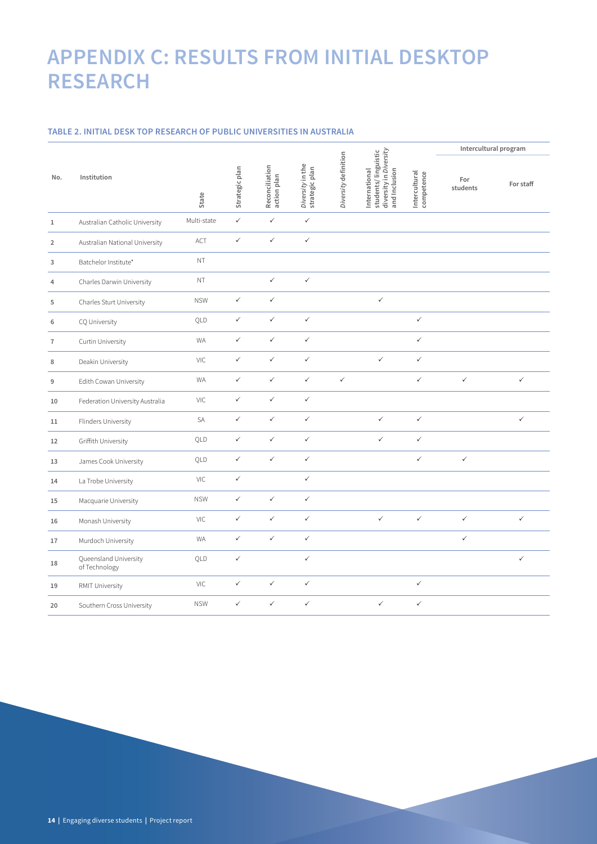## **APPENDIX C: RESULTS FROM INITIAL DESKTOP RESEARCH**

### **TABLE 2. INITIAL DESK TOP RESEARCH OF PUBLIC UNIVERSITIES IN AUSTRALIA**

|                |                                        |             |                |                               |                                    |                      | students/linguistic<br>diversity in Diversity<br>International<br>and Inclusion |                             | Intercultural program |              |
|----------------|----------------------------------------|-------------|----------------|-------------------------------|------------------------------------|----------------------|---------------------------------------------------------------------------------|-----------------------------|-----------------------|--------------|
| No.            | Institution                            | State       | Strategic plan | Reconciliation<br>action plan | Diversity in the<br>strategic plan | Diversity definition |                                                                                 | Intercultural<br>competence | For<br>students       | For staff    |
| $1\,$          | Australian Catholic University         | Multi-state | $\checkmark$   | $\checkmark$                  | $\checkmark$                       |                      |                                                                                 |                             |                       |              |
| $\overline{2}$ | Australian National University         | ACT         | $\checkmark$   | $\checkmark$                  | $\checkmark$                       |                      |                                                                                 |                             |                       |              |
| 3              | Batchelor Institute*                   | NT          |                |                               |                                    |                      |                                                                                 |                             |                       |              |
| 4              | Charles Darwin University              | NT          |                | $\checkmark$                  | $\checkmark$                       |                      |                                                                                 |                             |                       |              |
| 5              | Charles Sturt University               | <b>NSW</b>  | $\checkmark$   | $\checkmark$                  |                                    |                      | $\checkmark$                                                                    |                             |                       |              |
| 6              | CQ University                          | QLD         | $\checkmark$   | $\checkmark$                  | $\checkmark$                       |                      |                                                                                 | $\checkmark$                |                       |              |
| $\overline{1}$ | Curtin University                      | <b>WA</b>   | $\checkmark$   | $\checkmark$                  | $\checkmark$                       |                      |                                                                                 | $\checkmark$                |                       |              |
| 8              | Deakin University                      | VIC         | $\checkmark$   | $\checkmark$                  | $\checkmark$                       |                      | $\checkmark$                                                                    | $\checkmark$                |                       |              |
| 9              | Edith Cowan University                 | <b>WA</b>   | $\checkmark$   | $\checkmark$                  | $\checkmark$                       | $\checkmark$         |                                                                                 | $\checkmark$                | $\checkmark$          | $\checkmark$ |
| 10             | Federation University Australia        | VIC         | $\checkmark$   | $\checkmark$                  | $\checkmark$                       |                      |                                                                                 |                             |                       |              |
| 11             | Flinders University                    | SA          | $\checkmark$   | $\checkmark$                  | $\checkmark$                       |                      | $\checkmark$                                                                    | $\checkmark$                |                       | $\checkmark$ |
| 12             | Griffith University                    | OLD         | $\checkmark$   | $\checkmark$                  | $\checkmark$                       |                      | $\checkmark$                                                                    | $\checkmark$                |                       |              |
| 13             | James Cook University                  | QLD         | $\checkmark$   | $\checkmark$                  | $\checkmark$                       |                      |                                                                                 | $\checkmark$                | $\checkmark$          |              |
| 14             | La Trobe University                    | VIC         | $\checkmark$   |                               | $\checkmark$                       |                      |                                                                                 |                             |                       |              |
| 15             | Macquarie University                   | <b>NSW</b>  | $\checkmark$   | $\checkmark$                  | $\checkmark$                       |                      |                                                                                 |                             |                       |              |
| 16             | Monash University                      | VIC         | $\checkmark$   | $\checkmark$                  | $\checkmark$                       |                      | $\checkmark$                                                                    | $\checkmark$                | $\checkmark$          | $\checkmark$ |
| 17             | Murdoch University                     | <b>WA</b>   | $\checkmark$   | $\checkmark$                  | $\checkmark$                       |                      |                                                                                 |                             | $\checkmark$          |              |
| 18             | Queensland University<br>of Technology | QLD         | $\checkmark$   |                               | $\checkmark$                       |                      |                                                                                 |                             |                       | $\checkmark$ |
| 19             | RMIT University                        | VIC         | $\checkmark$   | $\checkmark$                  | $\checkmark$                       |                      |                                                                                 | $\checkmark$                |                       |              |
| 20             | Southern Cross University              | <b>NSW</b>  | $\checkmark$   | $\checkmark$                  | $\checkmark$                       |                      | $\checkmark$                                                                    | $\checkmark$                |                       |              |